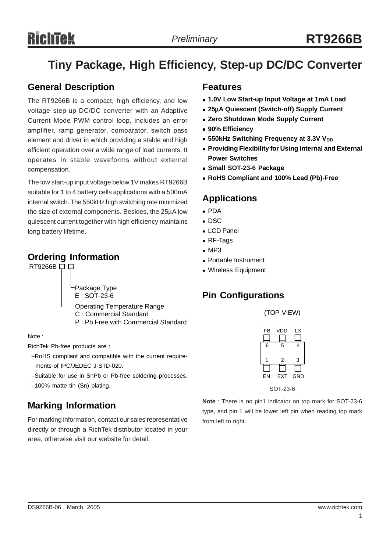# **RichTek**

# **Tiny Package, High Efficiency, Step-up DC/DC Converter**

### **General Description**

The RT9266B is a compact, high efficiency, and low voltage step-up DC/DC converter with an Adaptive Current Mode PWM control loop, includes an error amplifier, ramp generator, comparator, switch pass element and driver in which providing a stable and high efficient operation over a wide range of load currents. It operates in stable waveforms without external compensation.

The low start-up input voltage below 1V makes RT9266B suitable for 1 to 4 battery cells applications with a 500mA internal switch. The 550kHz high switching rate minimized the size of external components. Besides, the 25μA low quiescent current together with high efficiency maintains long battery lifetime.

### **Ordering Information**

RT9266B  $\Box$ 

Package Type E : SOT-23-6

Operating Temperature Range C : Commercial Standard P : Pb Free with Commercial Standard

Note :

RichTek Pb-free products are :

- −RoHS compliant and compatible with the current require ments of IPC/JEDEC J-STD-020.
- −Suitable for use in SnPb or Pb-free soldering processes.
- −100% matte tin (Sn) plating.

# **Marking Information**

For marking information, contact our sales representative directly or through a RichTek distributor located in your area, otherwise visit our website for detail.

### **Features**

- <sup>z</sup> **1.0V Low Start-up Input Voltage at 1mA Load**
- <sup>z</sup> **25**μ**A Quiescent (Switch-off) Supply Current**
- **Zero Shutdown Mode Supply Current**
- <sup>z</sup> **90% Efficiency**
- **550kHz Switching Frequency at 3.3V VDD**
- **Providing Flexibility for Using Internal and External Power Switches**
- <sup>z</sup> **Small SOT-23-6 Package**
- <sup>z</sup> **RoHS Compliant and 100% Lead (Pb)-Free**

## **Applications**

- PDA
- $\bullet$  DSC
- LCD Panel
- $\bullet$  RF-Tags
- $MPS$
- Portable Instrument
- Wireless Equipment

# **Pin Configurations**

(TOP VIEW)

| FB | <b>VDD</b> | LX         |
|----|------------|------------|
| 6  | 5          | 4          |
| 1  | 2          | 3          |
| EN | EXT        | <b>GND</b> |

SOT-23-6

**Note** : There is no pin1 indicator on top mark for SOT-23-6 type, and pin 1 will be lower left pin when reading top mark from left to right.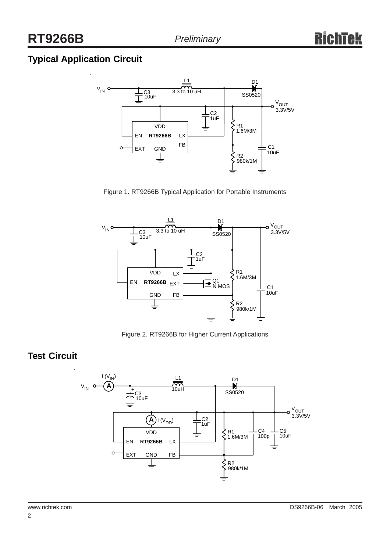# **Typical Application Circuit**



Figure 1. RT9266B Typical Application for Portable Instruments



Figure 2. RT9266B for Higher Current Applications

## **Test Circuit**

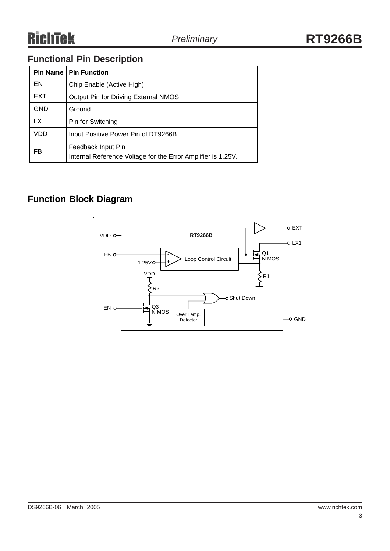# **Functional Pin Description**

|            | <b>Pin Name   Pin Function</b>                                                     |
|------------|------------------------------------------------------------------------------------|
| EN         | Chip Enable (Active High)                                                          |
| EXT        | Output Pin for Driving External NMOS                                               |
| <b>GND</b> | Ground                                                                             |
| LX.        | Pin for Switching                                                                  |
| VDD        | Input Positive Power Pin of RT9266B                                                |
| FB         | Feedback Input Pin<br>Internal Reference Voltage for the Error Amplifier is 1.25V. |

# **Function Block Diagram**

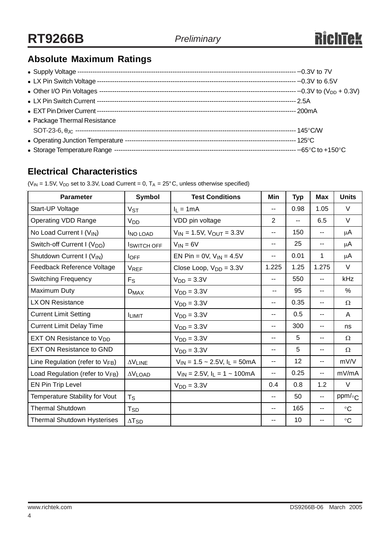# **Absolute Maximum Ratings**

| • Package Thermal Resistance |  |
|------------------------------|--|
|                              |  |
|                              |  |
|                              |  |

# **Electrical Characteristics**

( $V_{IN}$  = 1.5V,  $V_{DD}$  set to 3.3V, Load Current = 0,  $T_A$  = 25°C, unless otherwise specified)

| <b>Parameter</b>                        | <b>Symbol</b>         | <b>Test Conditions</b>              | Min                      | <b>Typ</b> | <b>Max</b>     | <b>Units</b>    |
|-----------------------------------------|-----------------------|-------------------------------------|--------------------------|------------|----------------|-----------------|
| Start-UP Voltage                        | V <sub>ST</sub>       | $I_1 = 1mA$                         | $\overline{\phantom{a}}$ | 0.98       | 1.05           | V               |
| <b>Operating VDD Range</b>              | <b>V<sub>DD</sub></b> | VDD pin voltage                     | 2                        | --         | 6.5            | $\vee$          |
| No Load Current I (V <sub>IN</sub> )    | <b>INO LOAD</b>       | $V_{IN} = 1.5V$ , $V_{OUT} = 3.3V$  | $\overline{\phantom{a}}$ | 150        | --             | μA              |
| Switch-off Current I (V <sub>DD</sub> ) | <b>I</b> SWITCH OFF   | $V_{IN} = 6V$                       | $\overline{\phantom{a}}$ | 25         | --             | $\mu$ A         |
| Shutdown Current I (V <sub>IN</sub> )   | $I_{OFF}$             | EN Pin = 0V, $V_{IN} = 4.5V$        | $\overline{\phantom{a}}$ | 0.01       | 1              | μA              |
| Feedback Reference Voltage              | <b>VREF</b>           | Close Loop, $V_{DD} = 3.3V$         | 1.225                    | 1.25       | 1.275          | V               |
| <b>Switching Frequency</b>              | $F_S$                 | $V_{DD} = 3.3V$                     | $-$                      | 550        | $\overline{a}$ | kHz             |
| Maximum Duty                            | $D_{MAX}$             | $VDD = 3.3V$                        | --                       | 95         | $- -$          | %               |
| LX ON Resistance                        |                       | $VDD = 3.3V$                        | $\overline{\phantom{a}}$ | 0.35       | $- -$          | Ω               |
| <b>Current Limit Setting</b>            | <b>ILIMIT</b>         | $VDD = 3.3V$                        | --                       | 0.5        | --             | A               |
| <b>Current Limit Delay Time</b>         |                       | $VDD = 3.3V$                        | $-$                      | 300        | --             | ns              |
| EXT ON Resistance to V <sub>DD</sub>    |                       | $VDD = 3.3V$                        | $\overline{\phantom{a}}$ | 5          | $- -$          | Ω               |
| <b>EXT ON Resistance to GND</b>         |                       | $VDD = 3.3V$                        | $\overline{\phantom{a}}$ | 5          | $- -$          | Ω               |
| Line Regulation (refer to $V_{FB}$ )    | $\Delta V$ LINE       | $V_{IN}$ = 1.5 ~ 2.5V, $I_L$ = 50mA | $\overline{\phantom{a}}$ | 12         | --             | mV/V            |
| Load Regulation (refer to VFB)          | $\Delta V$ LOAD       | $V_{IN}$ = 2.5V, $I_L$ = 1 ~ 100mA  | --                       | 0.25       | --             | mV/mA           |
| EN Pin Trip Level                       |                       | $VDD = 3.3V$                        | 0.4                      | 0.8        | 1.2            | V               |
| Temperature Stability for Vout          | $T_S$                 |                                     | --                       | 50         | --             | ppm/ $\circ$ C  |
| <b>Thermal Shutdown</b>                 | T <sub>SD</sub>       |                                     | $\overline{\phantom{a}}$ | 165        | --             | $\rm ^{\circ}C$ |
| <b>Thermal Shutdown Hysterises</b>      | $\Delta T_{SD}$       |                                     | --                       | 10         | --             | $\rm ^{\circ}C$ |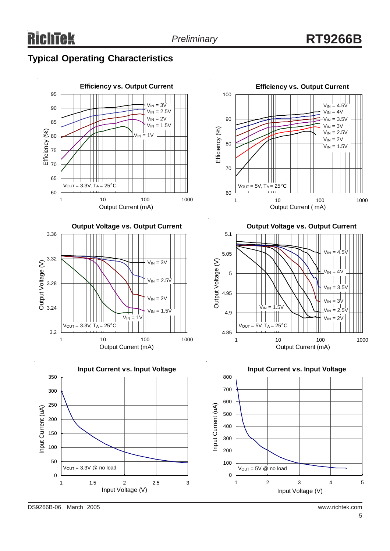## **Typical Operating Characteristics**

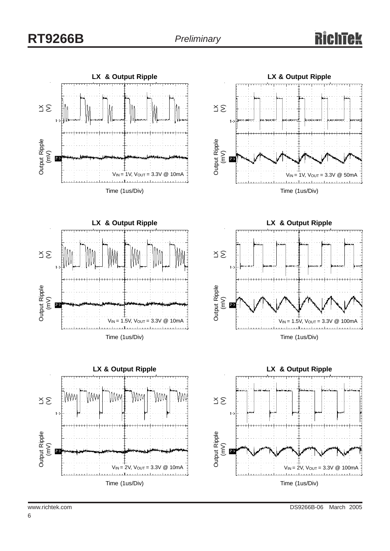# **RT9266B**



Output Ripple Output Ripple<br>(mV)  $1 -$ 





 $V_{IN} = 2V$ ,  $V_{OUT} = 3.3V$  @ 100mA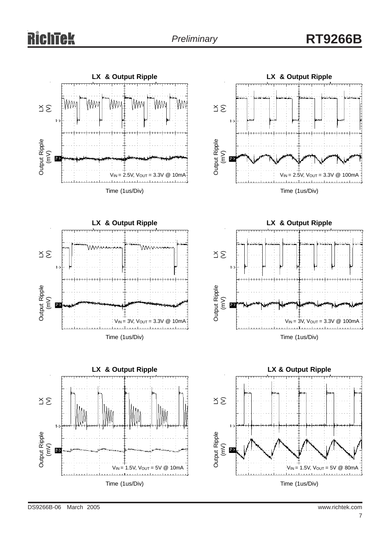# ichtek

# **RT9266B**









Time (1us/Div)

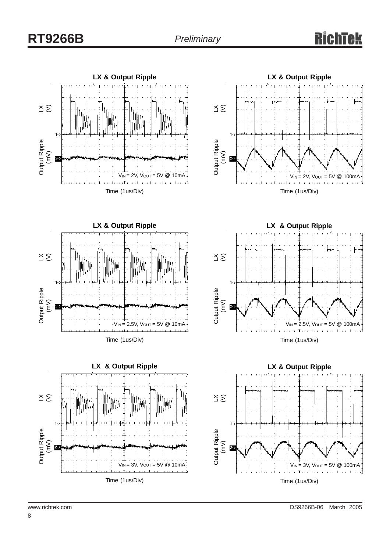# **RT9266B**

### Tek IA













8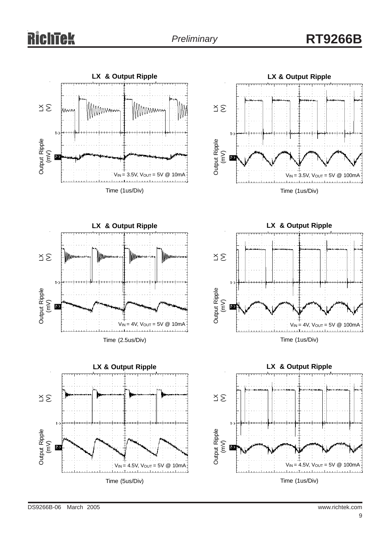# **RichTek**

# **RT9266B**











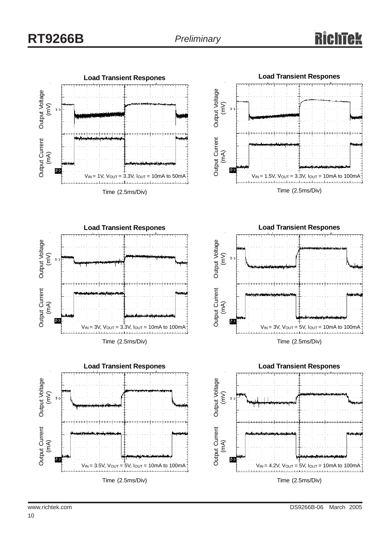





Time (2.5ms/Div)





**Load Transient Respones** Output Voltage (mV) Output Current (mA) 75  $V_{IN} = 4.2V$ ,  $V_{OUT} = 5V$ ,  $I_{OUT} = 10mA$  to 100mA Time (2.5ms/Div)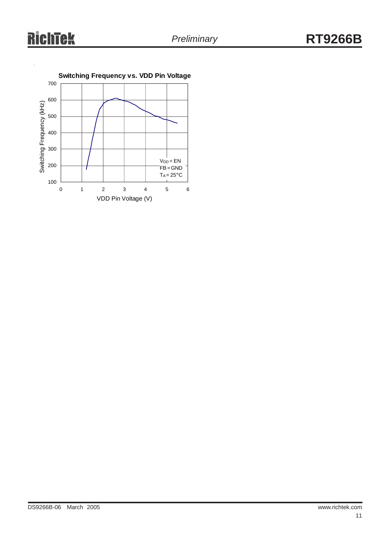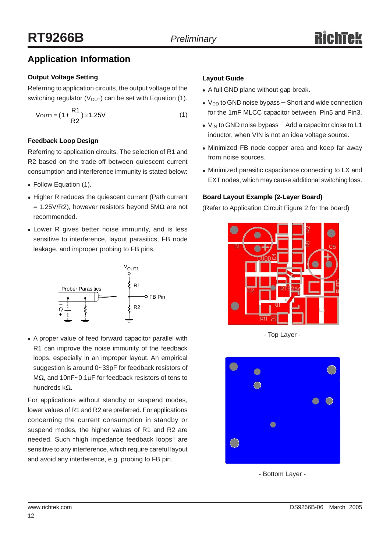# **Application Information**

### **Output Voltage Setting**

Referring to application circuits, the output voltage of the switching regulator ( $V_{\text{OUT}}$ ) can be set with Equation (1).

$$
V_{\text{OUT1}} = (1 + \frac{R1}{R2}) \times 1.25V
$$
 (1)

### **Feedback Loop Design**

Referring to application circuits, The selection of R1 and R2 based on the trade-off between quiescent current consumption and interference immunity is stated below:

- Follow Equation (1).
- Higher R reduces the quiescent current (Path current  $= 1.25V/R2$ ), however resistors beyond 5MΩ are not recommended.
- Lower R gives better noise immunity, and is less sensitive to interference, layout parasitics, FB node leakage, and improper probing to FB pins.



• A proper value of feed forward capacitor parallel with R1 can improve the noise immunity of the feedback loops, especially in an improper layout. An empirical suggestion is around 0~33pF for feedback resistors of MΩ, and 10nF~0.1μF for feedback resistors of tens to hundreds kΩ.

For applications without standby or suspend modes, lower values of R1 and R2 are preferred. For applications concerning the current consumption in standby or suspend modes, the higher values of R1 and R2 are needed. Such "high impedance feedback loops" are sensitive to any interference, which require careful layout and avoid any interference, e.g. probing to FB pin.

### **Layout Guide**

- A full GND plane without gap break.
- V<sub>DD</sub> to GND noise bypass Short and wide connection for the 1mF MLCC capacitor between Pin5 and Pin3.
- V<sub>IN</sub> to GND noise bypass Add a capacitor close to L1 inductor, when VIN is not an idea voltage source.
- Minimized FB node copper area and keep far away from noise sources.
- Minimized parasitic capacitance connecting to LX and EXT nodes, which may cause additional switching loss.

### **Board Layout Example (2-Layer Board)**

(Refer to Application Circuit Figure 2 for the board)



- Top Layer -



- Bottom Layer -